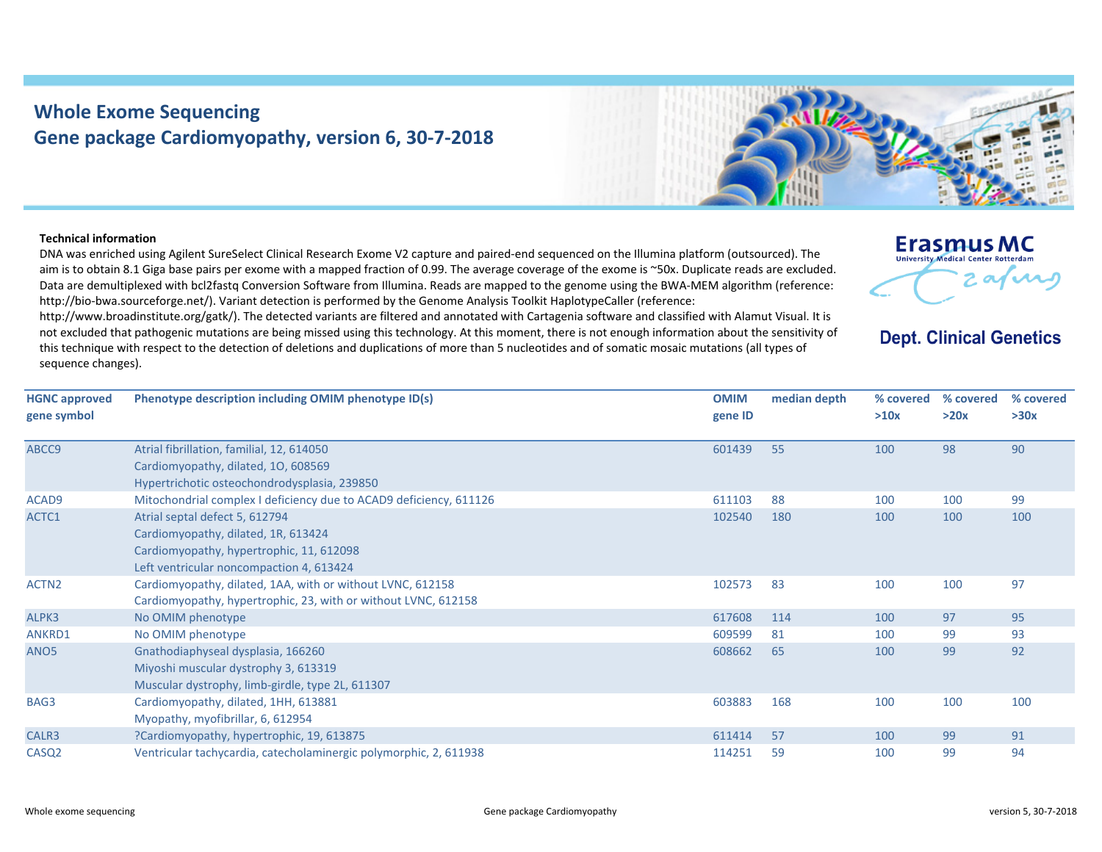## **Whole Exome Sequencing Gene package Cardiomyopathy, version 6, 30‐7‐2018**



## **Technical information**

DNA was enriched using Agilent SureSelect Clinical Research Exome V2 capture and paired‐end sequenced on the Illumina platform (outsourced). The aim is to obtain 8.1 Giga base pairs per exome with <sup>a</sup> mapped fraction of 0.99. The average coverage of the exome is ~50x. Duplicate reads are excluded. Data are demultiplexed with bcl2fastq Conversion Software from Illumina. Reads are mapped to the genome using the BWA‐MEM algorithm (reference: http://bio-bwa.sourceforge.net/). Variant detection is performed by the Genome Analysis Toolkit HaplotypeCaller (reference:

http://www.broadinstitute.org/gatk/). The detected variants are filtered and annotated with Cartagenia software and classified with Alamut Visual. It is not excluded that pathogenic mutations are being missed using this technology. At this moment, there is not enough information about the sensitivity of this technique with respect to the detection of deletions and duplications of more than 5 nucleotides and of somatic mosaic mutations (all types of sequence changes).

| <b>Erasmus MC</b>                          |
|--------------------------------------------|
| <b>University Medical Center Rotterdam</b> |
|                                            |
|                                            |

**Dept. Clinical Genetics** 

| <b>HGNC approved</b> | Phenotype description including OMIM phenotype ID(s)               | <b>OMIM</b> | median depth | % covered | % covered | % covered |
|----------------------|--------------------------------------------------------------------|-------------|--------------|-----------|-----------|-----------|
| gene symbol          |                                                                    | gene ID     |              | >10x      | >20x      | >30x      |
|                      |                                                                    |             |              |           |           |           |
| ABCC9                | Atrial fibrillation, familial, 12, 614050                          | 601439      | 55           | 100       | 98        | 90        |
|                      | Cardiomyopathy, dilated, 10, 608569                                |             |              |           |           |           |
|                      | Hypertrichotic osteochondrodysplasia, 239850                       |             |              |           |           |           |
| ACAD9                | Mitochondrial complex I deficiency due to ACAD9 deficiency, 611126 | 611103      | 88           | 100       | 100       | 99        |
| ACTC1                | Atrial septal defect 5, 612794                                     | 102540      | 180          | 100       | 100       | 100       |
|                      | Cardiomyopathy, dilated, 1R, 613424                                |             |              |           |           |           |
|                      | Cardiomyopathy, hypertrophic, 11, 612098                           |             |              |           |           |           |
|                      | Left ventricular noncompaction 4, 613424                           |             |              |           |           |           |
| ACTN <sub>2</sub>    | Cardiomyopathy, dilated, 1AA, with or without LVNC, 612158         | 102573      | 83           | 100       | 100       | 97        |
|                      | Cardiomyopathy, hypertrophic, 23, with or without LVNC, 612158     |             |              |           |           |           |
| ALPK3                | No OMIM phenotype                                                  | 617608      | 114          | 100       | 97        | 95        |
| ANKRD1               | No OMIM phenotype                                                  | 609599      | 81           | 100       | 99        | 93        |
| ANO <sub>5</sub>     | Gnathodiaphyseal dysplasia, 166260                                 | 608662      | 65           | 100       | 99        | 92        |
|                      | Miyoshi muscular dystrophy 3, 613319                               |             |              |           |           |           |
|                      | Muscular dystrophy, limb-girdle, type 2L, 611307                   |             |              |           |           |           |
| BAG3                 | Cardiomyopathy, dilated, 1HH, 613881                               | 603883      | 168          | 100       | 100       | 100       |
|                      | Myopathy, myofibrillar, 6, 612954                                  |             |              |           |           |           |
| CALR3                | ?Cardiomyopathy, hypertrophic, 19, 613875                          | 611414      | 57           | 100       | 99        | 91        |
| CASQ <sub>2</sub>    | Ventricular tachycardia, catecholaminergic polymorphic, 2, 611938  | 114251      | 59           | 100       | 99        | 94        |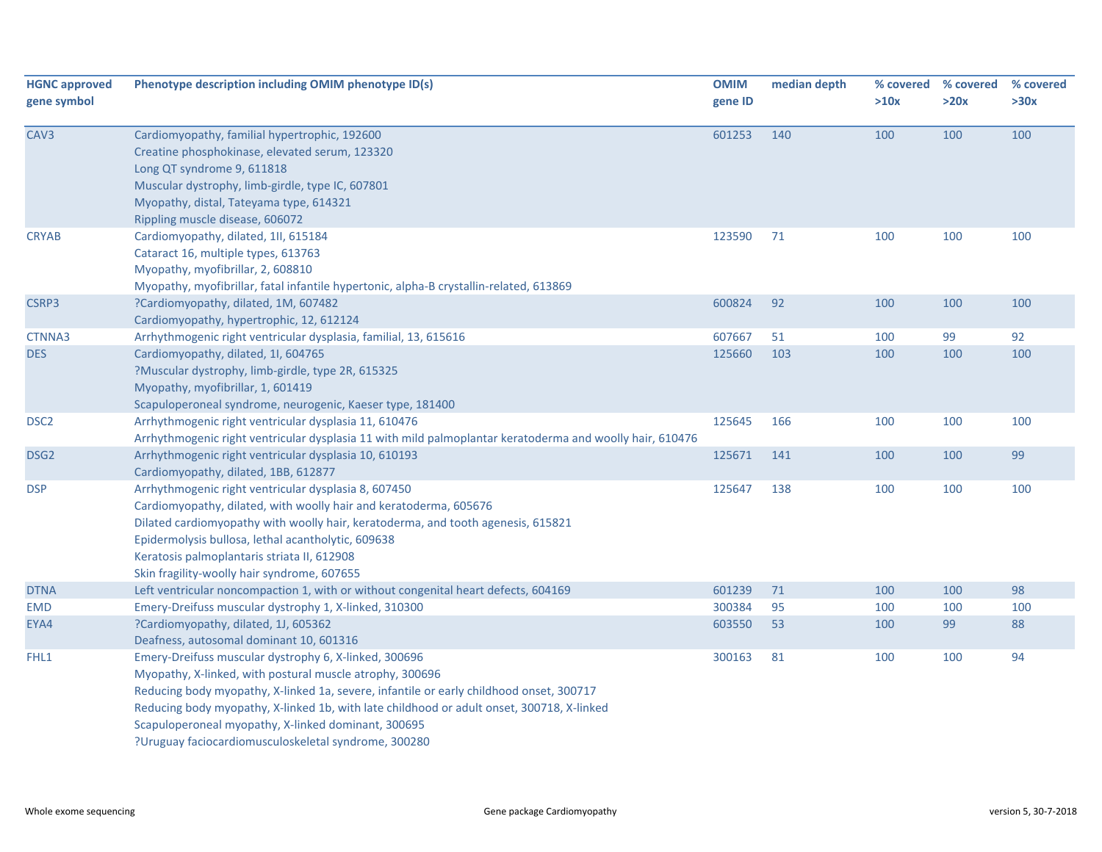| <b>HGNC approved</b><br>gene symbol | Phenotype description including OMIM phenotype ID(s)                                                                                                                                                                                                                                                                                                                                                                     | <b>OMIM</b><br>gene ID | median depth | >10x | % covered % covered<br>>20x | % covered<br>>30x |
|-------------------------------------|--------------------------------------------------------------------------------------------------------------------------------------------------------------------------------------------------------------------------------------------------------------------------------------------------------------------------------------------------------------------------------------------------------------------------|------------------------|--------------|------|-----------------------------|-------------------|
| CAV3                                | Cardiomyopathy, familial hypertrophic, 192600<br>Creatine phosphokinase, elevated serum, 123320<br>Long QT syndrome 9, 611818<br>Muscular dystrophy, limb-girdle, type IC, 607801<br>Myopathy, distal, Tateyama type, 614321<br>Rippling muscle disease, 606072                                                                                                                                                          | 601253                 | 140          | 100  | 100                         | 100               |
| <b>CRYAB</b>                        | Cardiomyopathy, dilated, 1ll, 615184<br>Cataract 16, multiple types, 613763<br>Myopathy, myofibrillar, 2, 608810<br>Myopathy, myofibrillar, fatal infantile hypertonic, alpha-B crystallin-related, 613869                                                                                                                                                                                                               | 123590                 | 71           | 100  | 100                         | 100               |
| CSRP3                               | ?Cardiomyopathy, dilated, 1M, 607482<br>Cardiomyopathy, hypertrophic, 12, 612124                                                                                                                                                                                                                                                                                                                                         | 600824                 | 92           | 100  | 100                         | 100               |
| CTNNA3                              | Arrhythmogenic right ventricular dysplasia, familial, 13, 615616                                                                                                                                                                                                                                                                                                                                                         | 607667                 | 51           | 100  | 99                          | 92                |
| <b>DES</b>                          | Cardiomyopathy, dilated, 1I, 604765<br>?Muscular dystrophy, limb-girdle, type 2R, 615325<br>Myopathy, myofibrillar, 1, 601419<br>Scapuloperoneal syndrome, neurogenic, Kaeser type, 181400                                                                                                                                                                                                                               | 125660                 | 103          | 100  | 100                         | 100               |
| DSC <sub>2</sub>                    | Arrhythmogenic right ventricular dysplasia 11, 610476<br>Arrhythmogenic right ventricular dysplasia 11 with mild palmoplantar keratoderma and woolly hair, 610476                                                                                                                                                                                                                                                        | 125645                 | 166          | 100  | 100                         | 100               |
| DSG <sub>2</sub>                    | Arrhythmogenic right ventricular dysplasia 10, 610193<br>Cardiomyopathy, dilated, 1BB, 612877                                                                                                                                                                                                                                                                                                                            | 125671                 | 141          | 100  | 100                         | 99                |
| <b>DSP</b>                          | Arrhythmogenic right ventricular dysplasia 8, 607450<br>Cardiomyopathy, dilated, with woolly hair and keratoderma, 605676<br>Dilated cardiomyopathy with woolly hair, keratoderma, and tooth agenesis, 615821<br>Epidermolysis bullosa, lethal acantholytic, 609638<br>Keratosis palmoplantaris striata II, 612908<br>Skin fragility-woolly hair syndrome, 607655                                                        | 125647                 | 138          | 100  | 100                         | 100               |
| <b>DTNA</b>                         | Left ventricular noncompaction 1, with or without congenital heart defects, 604169                                                                                                                                                                                                                                                                                                                                       | 601239                 | 71           | 100  | 100                         | 98                |
| <b>EMD</b>                          | Emery-Dreifuss muscular dystrophy 1, X-linked, 310300                                                                                                                                                                                                                                                                                                                                                                    | 300384                 | 95           | 100  | 100                         | 100               |
| EYA4                                | ?Cardiomyopathy, dilated, 1J, 605362<br>Deafness, autosomal dominant 10, 601316                                                                                                                                                                                                                                                                                                                                          | 603550                 | 53           | 100  | 99                          | 88                |
| FHL1                                | Emery-Dreifuss muscular dystrophy 6, X-linked, 300696<br>Myopathy, X-linked, with postural muscle atrophy, 300696<br>Reducing body myopathy, X-linked 1a, severe, infantile or early childhood onset, 300717<br>Reducing body myopathy, X-linked 1b, with late childhood or adult onset, 300718, X-linked<br>Scapuloperoneal myopathy, X-linked dominant, 300695<br>?Uruguay faciocardiomusculoskeletal syndrome, 300280 | 300163                 | 81           | 100  | 100                         | 94                |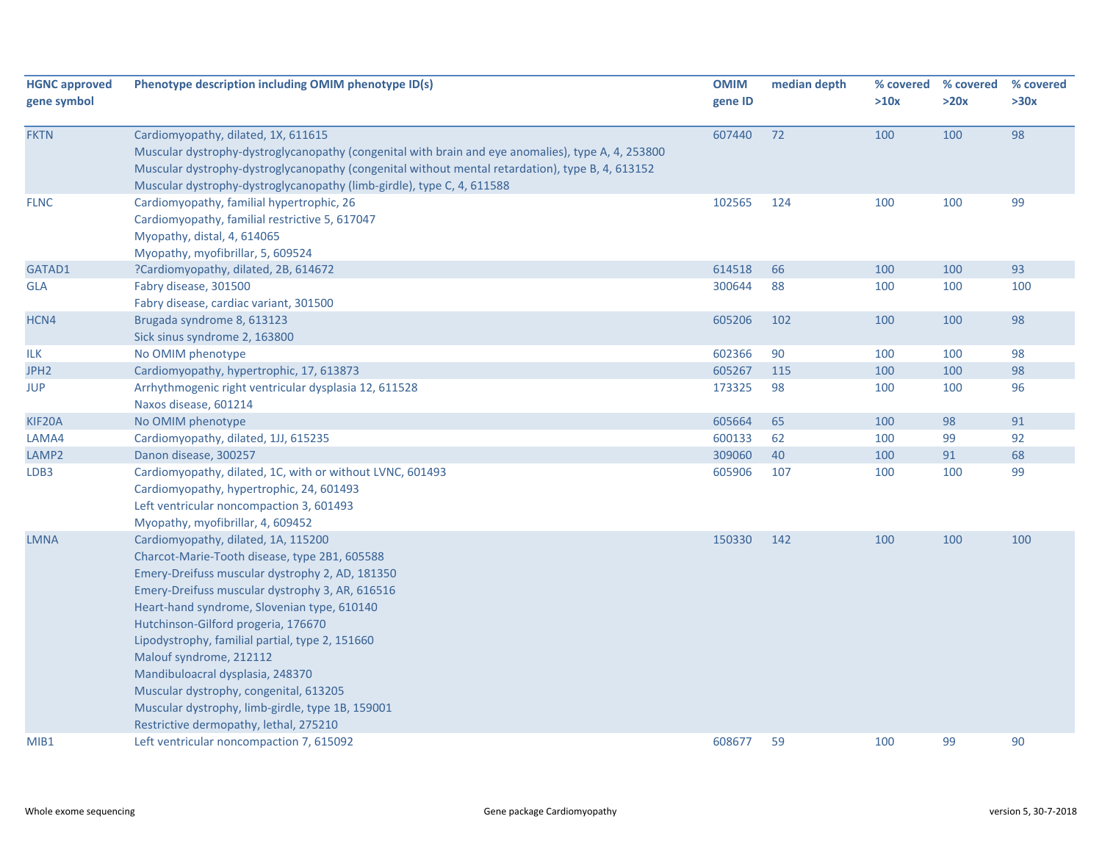| <b>HGNC approved</b><br>gene symbol | Phenotype description including OMIM phenotype ID(s)                                                                                                                                                                                                                                                                                                                                                                                                                                                                                       | <b>OMIM</b><br>gene ID | median depth | >10x | % covered % covered<br>>20x | % covered<br>>30x |
|-------------------------------------|--------------------------------------------------------------------------------------------------------------------------------------------------------------------------------------------------------------------------------------------------------------------------------------------------------------------------------------------------------------------------------------------------------------------------------------------------------------------------------------------------------------------------------------------|------------------------|--------------|------|-----------------------------|-------------------|
| <b>FKTN</b>                         | Cardiomyopathy, dilated, 1X, 611615<br>Muscular dystrophy-dystroglycanopathy (congenital with brain and eye anomalies), type A, 4, 253800<br>Muscular dystrophy-dystroglycanopathy (congenital without mental retardation), type B, 4, 613152<br>Muscular dystrophy-dystroglycanopathy (limb-girdle), type C, 4, 611588                                                                                                                                                                                                                    | 607440                 | 72           | 100  | 100                         | 98                |
| <b>FLNC</b>                         | Cardiomyopathy, familial hypertrophic, 26<br>Cardiomyopathy, familial restrictive 5, 617047<br>Myopathy, distal, 4, 614065<br>Myopathy, myofibrillar, 5, 609524                                                                                                                                                                                                                                                                                                                                                                            | 102565                 | 124          | 100  | 100                         | 99                |
| GATAD1                              | ?Cardiomyopathy, dilated, 2B, 614672                                                                                                                                                                                                                                                                                                                                                                                                                                                                                                       | 614518                 | 66           | 100  | 100                         | 93                |
| <b>GLA</b>                          | Fabry disease, 301500<br>Fabry disease, cardiac variant, 301500                                                                                                                                                                                                                                                                                                                                                                                                                                                                            | 300644                 | 88           | 100  | 100                         | 100               |
| HCN4                                | Brugada syndrome 8, 613123<br>Sick sinus syndrome 2, 163800                                                                                                                                                                                                                                                                                                                                                                                                                                                                                | 605206                 | 102          | 100  | 100                         | 98                |
| ILK                                 | No OMIM phenotype                                                                                                                                                                                                                                                                                                                                                                                                                                                                                                                          | 602366                 | 90           | 100  | 100                         | 98                |
| JPH <sub>2</sub>                    | Cardiomyopathy, hypertrophic, 17, 613873                                                                                                                                                                                                                                                                                                                                                                                                                                                                                                   | 605267                 | 115          | 100  | 100                         | 98                |
| <b>JUP</b>                          | Arrhythmogenic right ventricular dysplasia 12, 611528<br>Naxos disease, 601214                                                                                                                                                                                                                                                                                                                                                                                                                                                             | 173325                 | 98           | 100  | 100                         | 96                |
| KIF20A                              | No OMIM phenotype                                                                                                                                                                                                                                                                                                                                                                                                                                                                                                                          | 605664                 | 65           | 100  | 98                          | 91                |
| LAMA4                               | Cardiomyopathy, dilated, 1JJ, 615235                                                                                                                                                                                                                                                                                                                                                                                                                                                                                                       | 600133                 | 62           | 100  | 99                          | 92                |
| LAMP2                               | Danon disease, 300257                                                                                                                                                                                                                                                                                                                                                                                                                                                                                                                      | 309060                 | 40           | 100  | 91                          | 68                |
| LDB3                                | Cardiomyopathy, dilated, 1C, with or without LVNC, 601493<br>Cardiomyopathy, hypertrophic, 24, 601493<br>Left ventricular noncompaction 3, 601493<br>Myopathy, myofibrillar, 4, 609452                                                                                                                                                                                                                                                                                                                                                     | 605906                 | 107          | 100  | 100                         | 99                |
| <b>LMNA</b>                         | Cardiomyopathy, dilated, 1A, 115200<br>Charcot-Marie-Tooth disease, type 2B1, 605588<br>Emery-Dreifuss muscular dystrophy 2, AD, 181350<br>Emery-Dreifuss muscular dystrophy 3, AR, 616516<br>Heart-hand syndrome, Slovenian type, 610140<br>Hutchinson-Gilford progeria, 176670<br>Lipodystrophy, familial partial, type 2, 151660<br>Malouf syndrome, 212112<br>Mandibuloacral dysplasia, 248370<br>Muscular dystrophy, congenital, 613205<br>Muscular dystrophy, limb-girdle, type 1B, 159001<br>Restrictive dermopathy, lethal, 275210 | 150330                 | 142          | 100  | 100                         | 100               |
| MIB <sub>1</sub>                    | Left ventricular noncompaction 7, 615092                                                                                                                                                                                                                                                                                                                                                                                                                                                                                                   | 608677                 | 59           | 100  | 99                          | 90                |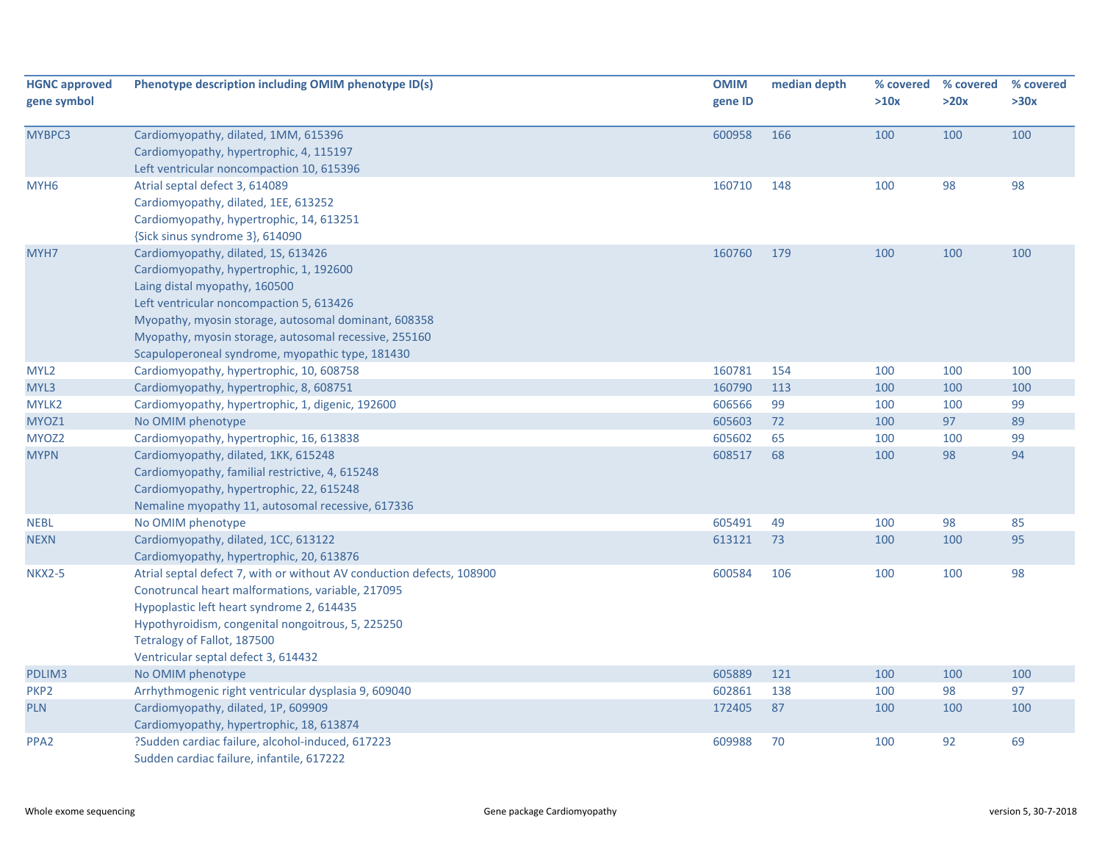| <b>HGNC approved</b><br>gene symbol | Phenotype description including OMIM phenotype ID(s)                                                                                                                                                                                                                                                                             | <b>OMIM</b><br>gene ID | median depth | % covered<br>>10x | % covered<br>>20x | % covered<br>>30x |
|-------------------------------------|----------------------------------------------------------------------------------------------------------------------------------------------------------------------------------------------------------------------------------------------------------------------------------------------------------------------------------|------------------------|--------------|-------------------|-------------------|-------------------|
| MYBPC3                              | Cardiomyopathy, dilated, 1MM, 615396<br>Cardiomyopathy, hypertrophic, 4, 115197<br>Left ventricular noncompaction 10, 615396                                                                                                                                                                                                     | 600958                 | 166          | 100               | 100               | 100               |
| MYH <sub>6</sub>                    | Atrial septal defect 3, 614089<br>Cardiomyopathy, dilated, 1EE, 613252<br>Cardiomyopathy, hypertrophic, 14, 613251<br>{Sick sinus syndrome 3}, 614090                                                                                                                                                                            | 160710                 | 148          | 100               | 98                | 98                |
| MYH7                                | Cardiomyopathy, dilated, 1S, 613426<br>Cardiomyopathy, hypertrophic, 1, 192600<br>Laing distal myopathy, 160500<br>Left ventricular noncompaction 5, 613426<br>Myopathy, myosin storage, autosomal dominant, 608358<br>Myopathy, myosin storage, autosomal recessive, 255160<br>Scapuloperoneal syndrome, myopathic type, 181430 | 160760                 | 179          | 100               | 100               | 100               |
| MYL <sub>2</sub>                    | Cardiomyopathy, hypertrophic, 10, 608758                                                                                                                                                                                                                                                                                         | 160781                 | 154          | 100               | 100               | 100               |
| MYL3                                | Cardiomyopathy, hypertrophic, 8, 608751                                                                                                                                                                                                                                                                                          | 160790                 | 113          | 100               | 100               | 100               |
| MYLK2                               | Cardiomyopathy, hypertrophic, 1, digenic, 192600                                                                                                                                                                                                                                                                                 | 606566                 | 99           | 100               | 100               | 99                |
| MYOZ1                               | No OMIM phenotype                                                                                                                                                                                                                                                                                                                | 605603                 | 72           | 100               | 97                | 89                |
| MYOZ2                               | Cardiomyopathy, hypertrophic, 16, 613838                                                                                                                                                                                                                                                                                         | 605602                 | 65           | 100               | 100               | 99                |
| <b>MYPN</b>                         | Cardiomyopathy, dilated, 1KK, 615248<br>Cardiomyopathy, familial restrictive, 4, 615248<br>Cardiomyopathy, hypertrophic, 22, 615248<br>Nemaline myopathy 11, autosomal recessive, 617336                                                                                                                                         | 608517                 | 68           | 100               | 98                | 94                |
| <b>NEBL</b>                         | No OMIM phenotype                                                                                                                                                                                                                                                                                                                | 605491                 | 49           | 100               | 98                | 85                |
| <b>NEXN</b>                         | Cardiomyopathy, dilated, 1CC, 613122<br>Cardiomyopathy, hypertrophic, 20, 613876                                                                                                                                                                                                                                                 | 613121                 | 73           | 100               | 100               | 95                |
| <b>NKX2-5</b>                       | Atrial septal defect 7, with or without AV conduction defects, 108900<br>Conotruncal heart malformations, variable, 217095<br>Hypoplastic left heart syndrome 2, 614435<br>Hypothyroidism, congenital nongoitrous, 5, 225250<br>Tetralogy of Fallot, 187500<br>Ventricular septal defect 3, 614432                               | 600584                 | 106          | 100               | 100               | 98                |
| PDLIM3                              | No OMIM phenotype                                                                                                                                                                                                                                                                                                                | 605889                 | 121          | 100               | 100               | 100               |
| PKP <sub>2</sub>                    | Arrhythmogenic right ventricular dysplasia 9, 609040                                                                                                                                                                                                                                                                             | 602861                 | 138          | 100               | 98                | 97                |
| <b>PLN</b>                          | Cardiomyopathy, dilated, 1P, 609909<br>Cardiomyopathy, hypertrophic, 18, 613874                                                                                                                                                                                                                                                  | 172405                 | 87           | 100               | 100               | 100               |
| PPA <sub>2</sub>                    | ?Sudden cardiac failure, alcohol-induced, 617223<br>Sudden cardiac failure, infantile, 617222                                                                                                                                                                                                                                    | 609988                 | 70           | 100               | 92                | 69                |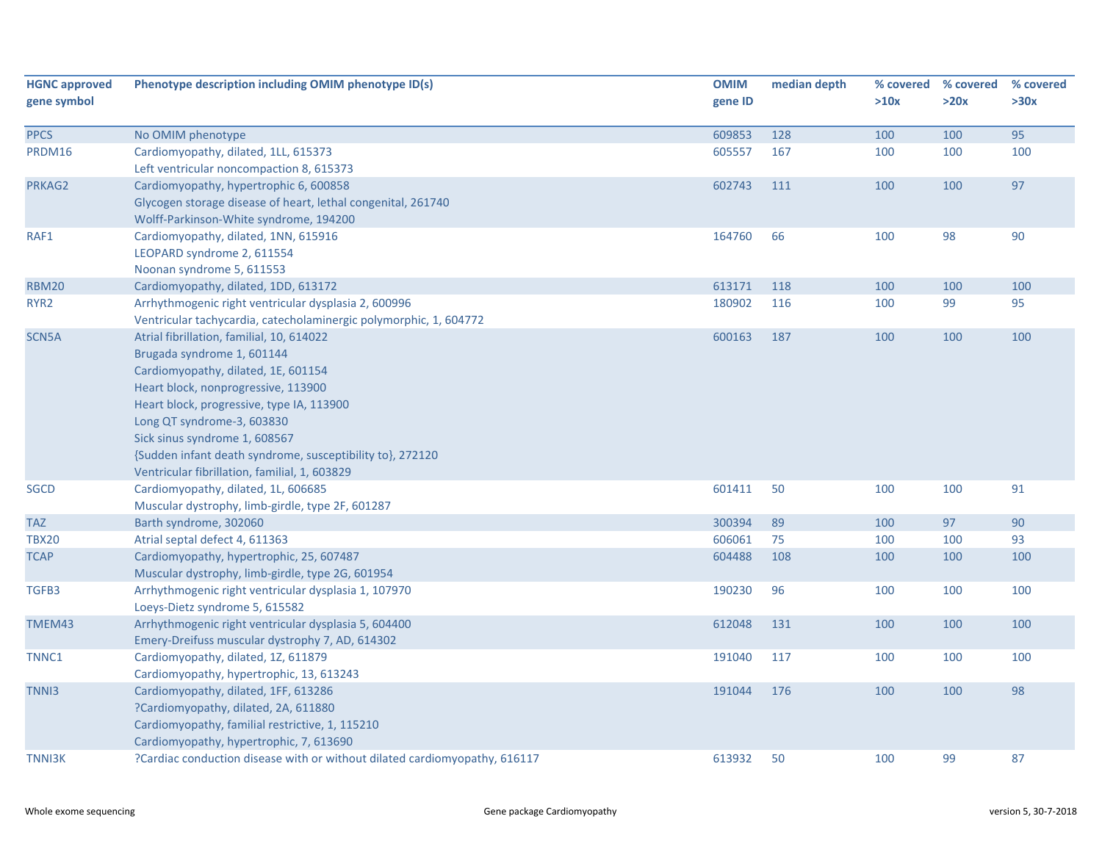| <b>HGNC approved</b><br>gene symbol | Phenotype description including OMIM phenotype ID(s)                                                                                                                                                                                                                                                                                                                            | <b>OMIM</b><br>gene ID | median depth | % covered<br>>10x | % covered<br>>20x | % covered<br>>30x |
|-------------------------------------|---------------------------------------------------------------------------------------------------------------------------------------------------------------------------------------------------------------------------------------------------------------------------------------------------------------------------------------------------------------------------------|------------------------|--------------|-------------------|-------------------|-------------------|
| <b>PPCS</b>                         | No OMIM phenotype                                                                                                                                                                                                                                                                                                                                                               | 609853                 | 128          | 100               | 100               | 95                |
| PRDM16                              | Cardiomyopathy, dilated, 1LL, 615373<br>Left ventricular noncompaction 8, 615373                                                                                                                                                                                                                                                                                                | 605557                 | 167          | 100               | 100               | 100               |
| PRKAG2                              | Cardiomyopathy, hypertrophic 6, 600858<br>Glycogen storage disease of heart, lethal congenital, 261740<br>Wolff-Parkinson-White syndrome, 194200                                                                                                                                                                                                                                | 602743                 | 111          | 100               | 100               | 97                |
| RAF1                                | Cardiomyopathy, dilated, 1NN, 615916<br>LEOPARD syndrome 2, 611554<br>Noonan syndrome 5, 611553                                                                                                                                                                                                                                                                                 | 164760                 | 66           | 100               | 98                | 90                |
| <b>RBM20</b>                        | Cardiomyopathy, dilated, 1DD, 613172                                                                                                                                                                                                                                                                                                                                            | 613171                 | 118          | 100               | 100               | 100               |
| RYR <sub>2</sub>                    | Arrhythmogenic right ventricular dysplasia 2, 600996<br>Ventricular tachycardia, catecholaminergic polymorphic, 1, 604772                                                                                                                                                                                                                                                       | 180902                 | 116          | 100               | 99                | 95                |
| SCN5A                               | Atrial fibrillation, familial, 10, 614022<br>Brugada syndrome 1, 601144<br>Cardiomyopathy, dilated, 1E, 601154<br>Heart block, nonprogressive, 113900<br>Heart block, progressive, type IA, 113900<br>Long QT syndrome-3, 603830<br>Sick sinus syndrome 1, 608567<br>{Sudden infant death syndrome, susceptibility to}, 272120<br>Ventricular fibrillation, familial, 1, 603829 | 600163                 | 187          | 100               | 100               | 100               |
| <b>SGCD</b>                         | Cardiomyopathy, dilated, 1L, 606685<br>Muscular dystrophy, limb-girdle, type 2F, 601287                                                                                                                                                                                                                                                                                         | 601411                 | 50           | 100               | 100               | 91                |
| <b>TAZ</b>                          | Barth syndrome, 302060                                                                                                                                                                                                                                                                                                                                                          | 300394                 | 89           | 100               | 97                | 90                |
| <b>TBX20</b>                        | Atrial septal defect 4, 611363                                                                                                                                                                                                                                                                                                                                                  | 606061                 | 75           | 100               | 100               | 93                |
| <b>TCAP</b>                         | Cardiomyopathy, hypertrophic, 25, 607487<br>Muscular dystrophy, limb-girdle, type 2G, 601954                                                                                                                                                                                                                                                                                    | 604488                 | 108          | 100               | 100               | 100               |
| TGFB3                               | Arrhythmogenic right ventricular dysplasia 1, 107970<br>Loeys-Dietz syndrome 5, 615582                                                                                                                                                                                                                                                                                          | 190230                 | 96           | 100               | 100               | 100               |
| TMEM43                              | Arrhythmogenic right ventricular dysplasia 5, 604400<br>Emery-Dreifuss muscular dystrophy 7, AD, 614302                                                                                                                                                                                                                                                                         | 612048                 | 131          | 100               | 100               | 100               |
| TNNC1                               | Cardiomyopathy, dilated, 1Z, 611879<br>Cardiomyopathy, hypertrophic, 13, 613243                                                                                                                                                                                                                                                                                                 | 191040                 | 117          | 100               | 100               | 100               |
| TNN <sub>13</sub>                   | Cardiomyopathy, dilated, 1FF, 613286<br>?Cardiomyopathy, dilated, 2A, 611880<br>Cardiomyopathy, familial restrictive, 1, 115210<br>Cardiomyopathy, hypertrophic, 7, 613690                                                                                                                                                                                                      | 191044                 | 176          | 100               | 100               | 98                |
| <b>TNNI3K</b>                       | ?Cardiac conduction disease with or without dilated cardiomyopathy, 616117                                                                                                                                                                                                                                                                                                      | 613932                 | 50           | 100               | 99                | 87                |